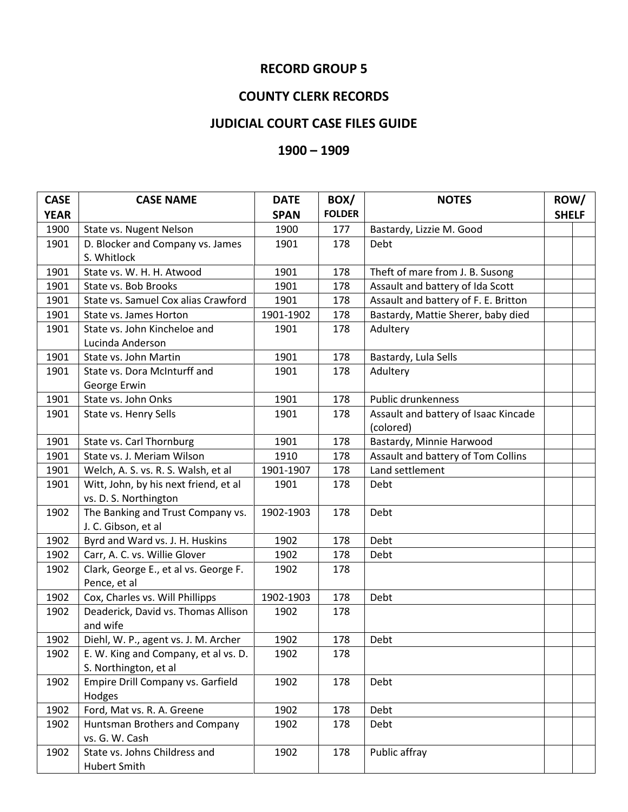## **RECORD GROUP 5**

## **COUNTY CLERK RECORDS**

## **JUDICIAL COURT CASE FILES GUIDE**

## **– 1909**

| <b>CASE</b> | <b>CASE NAME</b>                      | <b>DATE</b> | BOX/          | <b>NOTES</b>                         | ROW/         |  |
|-------------|---------------------------------------|-------------|---------------|--------------------------------------|--------------|--|
| <b>YEAR</b> |                                       | <b>SPAN</b> | <b>FOLDER</b> |                                      | <b>SHELF</b> |  |
| 1900        | State vs. Nugent Nelson               | 1900        | 177           | Bastardy, Lizzie M. Good             |              |  |
| 1901        | D. Blocker and Company vs. James      | 1901        | 178           | Debt                                 |              |  |
|             | S. Whitlock                           |             |               |                                      |              |  |
| 1901        | State vs. W. H. H. Atwood             | 1901        | 178           | Theft of mare from J. B. Susong      |              |  |
| 1901        | State vs. Bob Brooks                  | 1901        | 178           | Assault and battery of Ida Scott     |              |  |
| 1901        | State vs. Samuel Cox alias Crawford   | 1901        | 178           | Assault and battery of F. E. Britton |              |  |
| 1901        | State vs. James Horton                | 1901-1902   | 178           | Bastardy, Mattie Sherer, baby died   |              |  |
| 1901        | State vs. John Kincheloe and          | 1901        | 178           | Adultery                             |              |  |
|             | Lucinda Anderson                      |             |               |                                      |              |  |
| 1901        | State vs. John Martin                 | 1901        | 178           | Bastardy, Lula Sells                 |              |  |
| 1901        | State vs. Dora McInturff and          | 1901        | 178           | Adultery                             |              |  |
|             | George Erwin                          |             |               |                                      |              |  |
| 1901        | State vs. John Onks                   | 1901        | 178           | Public drunkenness                   |              |  |
| 1901        | State vs. Henry Sells                 | 1901        | 178           | Assault and battery of Isaac Kincade |              |  |
|             |                                       |             |               | (colored)                            |              |  |
| 1901        | State vs. Carl Thornburg              | 1901        | 178           | Bastardy, Minnie Harwood             |              |  |
| 1901        | State vs. J. Meriam Wilson            | 1910        | 178           | Assault and battery of Tom Collins   |              |  |
| 1901        | Welch, A. S. vs. R. S. Walsh, et al   | 1901-1907   | 178           | Land settlement                      |              |  |
| 1901        | Witt, John, by his next friend, et al | 1901        | 178           | Debt                                 |              |  |
|             | vs. D. S. Northington                 |             |               |                                      |              |  |
| 1902        | The Banking and Trust Company vs.     | 1902-1903   | 178           | Debt                                 |              |  |
|             | J. C. Gibson, et al                   |             |               |                                      |              |  |
| 1902        | Byrd and Ward vs. J. H. Huskins       | 1902        | 178           | Debt                                 |              |  |
| 1902        | Carr, A. C. vs. Willie Glover         | 1902        | 178           | Debt                                 |              |  |
| 1902        | Clark, George E., et al vs. George F. | 1902        | 178           |                                      |              |  |
|             | Pence, et al                          |             |               |                                      |              |  |
| 1902        | Cox, Charles vs. Will Phillipps       | 1902-1903   | 178           | Debt                                 |              |  |
| 1902        | Deaderick, David vs. Thomas Allison   | 1902        | 178           |                                      |              |  |
|             | and wife                              |             |               |                                      |              |  |
| 1902        | Diehl, W. P., agent vs. J. M. Archer  | 1902        | 178           | Debt                                 |              |  |
| 1902        | E. W. King and Company, et al vs. D.  | 1902        | 178           |                                      |              |  |
|             | S. Northington, et al                 |             |               |                                      |              |  |
| 1902        | Empire Drill Company vs. Garfield     | 1902        | 178           | Debt                                 |              |  |
|             | Hodges                                |             |               |                                      |              |  |
| 1902        | Ford, Mat vs. R. A. Greene            | 1902        | 178           | Debt                                 |              |  |
| 1902        | Huntsman Brothers and Company         | 1902        | 178           | Debt                                 |              |  |
|             | vs. G. W. Cash                        |             |               |                                      |              |  |
| 1902        | State vs. Johns Childress and         | 1902        | 178           | Public affray                        |              |  |
|             | <b>Hubert Smith</b>                   |             |               |                                      |              |  |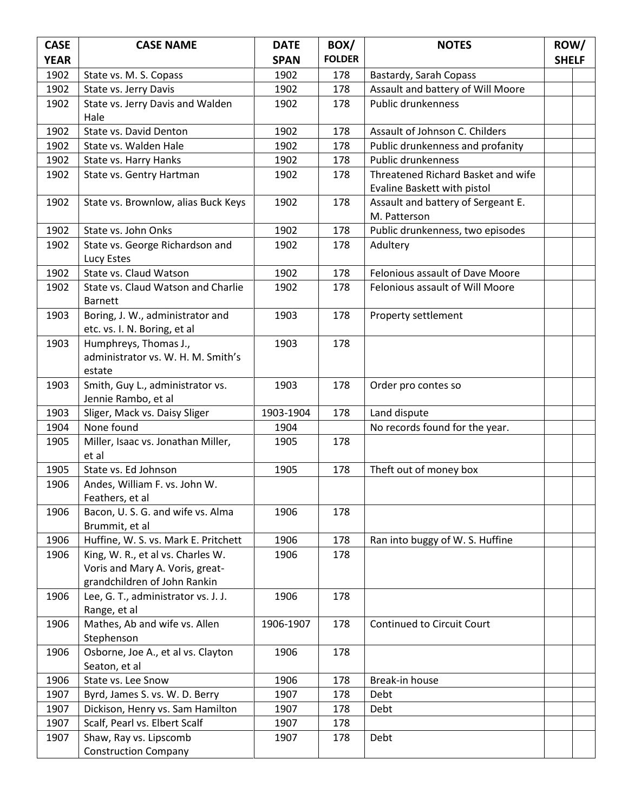| <b>CASE</b>  | <b>CASE NAME</b>                                                  | <b>DATE</b>  | BOX/          | <b>NOTES</b>                       | ROW/         |  |
|--------------|-------------------------------------------------------------------|--------------|---------------|------------------------------------|--------------|--|
| <b>YEAR</b>  |                                                                   | <b>SPAN</b>  | <b>FOLDER</b> |                                    | <b>SHELF</b> |  |
| 1902         | State vs. M. S. Copass                                            | 1902         | 178           | Bastardy, Sarah Copass             |              |  |
| 1902         | State vs. Jerry Davis                                             | 1902         | 178           | Assault and battery of Will Moore  |              |  |
| 1902         | State vs. Jerry Davis and Walden                                  | 1902         | 178           | Public drunkenness                 |              |  |
|              | Hale                                                              |              |               |                                    |              |  |
| 1902         | State vs. David Denton                                            | 1902         | 178           | Assault of Johnson C. Childers     |              |  |
| 1902         | State vs. Walden Hale                                             | 1902         | 178           | Public drunkenness and profanity   |              |  |
| 1902         | State vs. Harry Hanks                                             | 1902         | 178           | <b>Public drunkenness</b>          |              |  |
| 1902         | State vs. Gentry Hartman                                          | 1902         | 178           | Threatened Richard Basket and wife |              |  |
|              |                                                                   |              |               | Evaline Baskett with pistol        |              |  |
| 1902         | State vs. Brownlow, alias Buck Keys                               | 1902         | 178           | Assault and battery of Sergeant E. |              |  |
|              |                                                                   |              |               | M. Patterson                       |              |  |
| 1902         | State vs. John Onks                                               | 1902         | 178           | Public drunkenness, two episodes   |              |  |
| 1902         | State vs. George Richardson and                                   | 1902         | 178           | Adultery                           |              |  |
|              | Lucy Estes                                                        |              |               |                                    |              |  |
| 1902         | State vs. Claud Watson                                            | 1902         | 178           | Felonious assault of Dave Moore    |              |  |
| 1902         | State vs. Claud Watson and Charlie                                | 1902         | 178           | Felonious assault of Will Moore    |              |  |
|              | <b>Barnett</b>                                                    |              |               |                                    |              |  |
| 1903         | Boring, J. W., administrator and                                  | 1903         | 178           | Property settlement                |              |  |
|              | etc. vs. I. N. Boring, et al                                      |              |               |                                    |              |  |
| 1903         | Humphreys, Thomas J.,<br>administrator vs. W. H. M. Smith's       | 1903         | 178           |                                    |              |  |
|              | estate                                                            |              |               |                                    |              |  |
| 1903         | Smith, Guy L., administrator vs.                                  | 1903         | 178           | Order pro contes so                |              |  |
|              | Jennie Rambo, et al                                               |              |               |                                    |              |  |
| 1903         | Sliger, Mack vs. Daisy Sliger                                     | 1903-1904    | 178           | Land dispute                       |              |  |
| 1904         | None found                                                        | 1904         |               | No records found for the year.     |              |  |
| 1905         | Miller, Isaac vs. Jonathan Miller,                                | 1905         | 178           |                                    |              |  |
|              | et al                                                             |              |               |                                    |              |  |
| 1905         | State vs. Ed Johnson                                              | 1905         | 178           | Theft out of money box             |              |  |
| 1906         | Andes, William F. vs. John W.                                     |              |               |                                    |              |  |
|              | Feathers, et al                                                   |              |               |                                    |              |  |
| 1906         | Bacon, U.S.G. and wife vs. Alma                                   | 1906         | 178           |                                    |              |  |
|              | Brummit, et al                                                    |              |               |                                    |              |  |
| 1906         | Huffine, W. S. vs. Mark E. Pritchett                              | 1906         | 178           | Ran into buggy of W. S. Huffine    |              |  |
| 1906         | King, W. R., et al vs. Charles W.                                 | 1906         | 178           |                                    |              |  |
|              | Voris and Mary A. Voris, great-                                   |              |               |                                    |              |  |
|              | grandchildren of John Rankin                                      |              |               |                                    |              |  |
| 1906         | Lee, G. T., administrator vs. J. J.                               | 1906         | 178           |                                    |              |  |
|              | Range, et al                                                      |              |               |                                    |              |  |
| 1906         | Mathes, Ab and wife vs. Allen                                     | 1906-1907    | 178           | Continued to Circuit Court         |              |  |
|              | Stephenson                                                        |              |               |                                    |              |  |
| 1906         | Osborne, Joe A., et al vs. Clayton                                | 1906         | 178           |                                    |              |  |
|              | Seaton, et al                                                     |              | 178           |                                    |              |  |
| 1906<br>1907 | State vs. Lee Snow<br>Byrd, James S. vs. W. D. Berry              | 1906<br>1907 | 178           | Break-in house<br>Debt             |              |  |
| 1907         |                                                                   | 1907         | 178           | Debt                               |              |  |
| 1907         | Dickison, Henry vs. Sam Hamilton<br>Scalf, Pearl vs. Elbert Scalf | 1907         | 178           |                                    |              |  |
| 1907         | Shaw, Ray vs. Lipscomb                                            | 1907         | 178           | Debt                               |              |  |
|              | <b>Construction Company</b>                                       |              |               |                                    |              |  |
|              |                                                                   |              |               |                                    |              |  |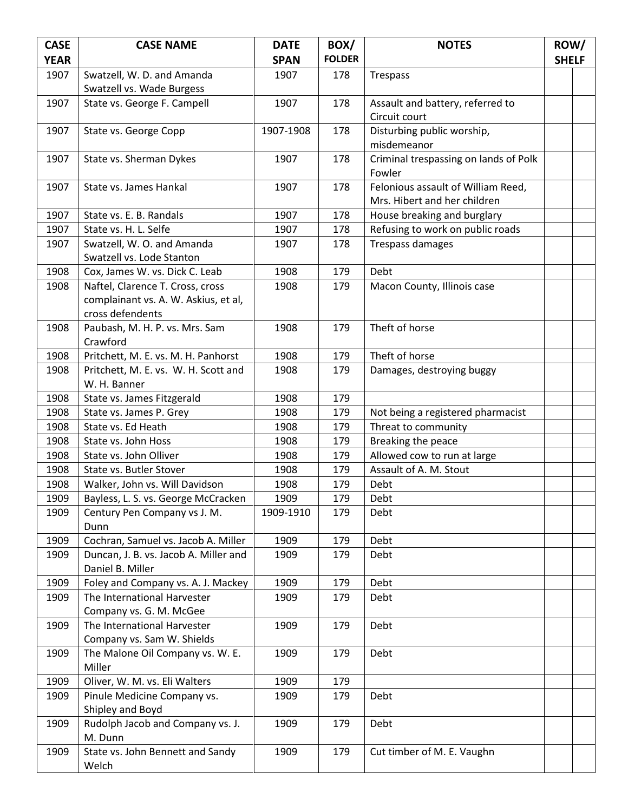| <b>CASE</b>  | <b>CASE NAME</b>                                                   | <b>DATE</b>  | BOX/          | <b>NOTES</b>                          | ROW/         |  |
|--------------|--------------------------------------------------------------------|--------------|---------------|---------------------------------------|--------------|--|
| <b>YEAR</b>  |                                                                    | <b>SPAN</b>  | <b>FOLDER</b> |                                       | <b>SHELF</b> |  |
| 1907         | Swatzell, W. D. and Amanda                                         | 1907         | 178           | Trespass                              |              |  |
|              | Swatzell vs. Wade Burgess                                          |              |               |                                       |              |  |
| 1907         | State vs. George F. Campell                                        | 1907         | 178           | Assault and battery, referred to      |              |  |
|              |                                                                    |              |               | Circuit court                         |              |  |
| 1907         | State vs. George Copp                                              | 1907-1908    | 178           | Disturbing public worship,            |              |  |
|              |                                                                    |              |               | misdemeanor                           |              |  |
| 1907         | State vs. Sherman Dykes                                            | 1907         | 178           | Criminal trespassing on lands of Polk |              |  |
|              |                                                                    |              |               | Fowler                                |              |  |
| 1907         | State vs. James Hankal                                             | 1907         | 178           | Felonious assault of William Reed,    |              |  |
|              |                                                                    |              |               | Mrs. Hibert and her children          |              |  |
| 1907         | State vs. E. B. Randals                                            | 1907         | 178           | House breaking and burglary           |              |  |
| 1907         | State vs. H. L. Selfe                                              | 1907         | 178           | Refusing to work on public roads      |              |  |
| 1907         | Swatzell, W. O. and Amanda                                         | 1907         | 178           | <b>Trespass damages</b>               |              |  |
|              | Swatzell vs. Lode Stanton                                          |              |               |                                       |              |  |
| 1908<br>1908 | Cox, James W. vs. Dick C. Leab<br>Naftel, Clarence T. Cross, cross | 1908<br>1908 | 179<br>179    | Debt<br>Macon County, Illinois case   |              |  |
|              | complainant vs. A. W. Askius, et al,                               |              |               |                                       |              |  |
|              | cross defendents                                                   |              |               |                                       |              |  |
| 1908         | Paubash, M. H. P. vs. Mrs. Sam                                     | 1908         | 179           | Theft of horse                        |              |  |
|              | Crawford                                                           |              |               |                                       |              |  |
| 1908         | Pritchett, M. E. vs. M. H. Panhorst                                | 1908         | 179           | Theft of horse                        |              |  |
| 1908         | Pritchett, M. E. vs. W. H. Scott and                               | 1908         | 179           | Damages, destroying buggy             |              |  |
|              | W. H. Banner                                                       |              |               |                                       |              |  |
| 1908         | State vs. James Fitzgerald                                         | 1908         | 179           |                                       |              |  |
| 1908         | State vs. James P. Grey                                            | 1908         | 179           | Not being a registered pharmacist     |              |  |
| 1908         | State vs. Ed Heath                                                 | 1908         | 179           | Threat to community                   |              |  |
| 1908         | State vs. John Hoss                                                | 1908         | 179           | Breaking the peace                    |              |  |
| 1908         | State vs. John Olliver                                             | 1908         | 179           | Allowed cow to run at large           |              |  |
| 1908         | State vs. Butler Stover                                            | 1908         | 179           | Assault of A. M. Stout                |              |  |
| 1908         | Walker, John vs. Will Davidson                                     | 1908         | 179           | Debt                                  |              |  |
| 1909         | Bayless, L. S. vs. George McCracken                                | 1909         | 179           | Debt                                  |              |  |
| 1909         | Century Pen Company vs J. M.                                       | 1909-1910    | 179           | Debt                                  |              |  |
|              | Dunn                                                               |              |               |                                       |              |  |
| 1909         | Cochran, Samuel vs. Jacob A. Miller                                | 1909         | 179           | Debt                                  |              |  |
| 1909         | Duncan, J. B. vs. Jacob A. Miller and                              | 1909         | 179           | Debt                                  |              |  |
|              | Daniel B. Miller                                                   |              |               |                                       |              |  |
| 1909         | Foley and Company vs. A. J. Mackey                                 | 1909         | 179           | Debt                                  |              |  |
| 1909         | The International Harvester                                        | 1909         | 179           | Debt                                  |              |  |
| 1909         | Company vs. G. M. McGee<br>The International Harvester             | 1909         | 179           | Debt                                  |              |  |
|              | Company vs. Sam W. Shields                                         |              |               |                                       |              |  |
| 1909         | The Malone Oil Company vs. W. E.                                   | 1909         | 179           | Debt                                  |              |  |
|              | Miller                                                             |              |               |                                       |              |  |
| 1909         | Oliver, W. M. vs. Eli Walters                                      | 1909         | 179           |                                       |              |  |
| 1909         | Pinule Medicine Company vs.                                        | 1909         | 179           | Debt                                  |              |  |
|              | Shipley and Boyd                                                   |              |               |                                       |              |  |
| 1909         | Rudolph Jacob and Company vs. J.                                   | 1909         | 179           | Debt                                  |              |  |
|              | M. Dunn                                                            |              |               |                                       |              |  |
| 1909         | State vs. John Bennett and Sandy                                   | 1909         | 179           | Cut timber of M. E. Vaughn            |              |  |
|              | Welch                                                              |              |               |                                       |              |  |